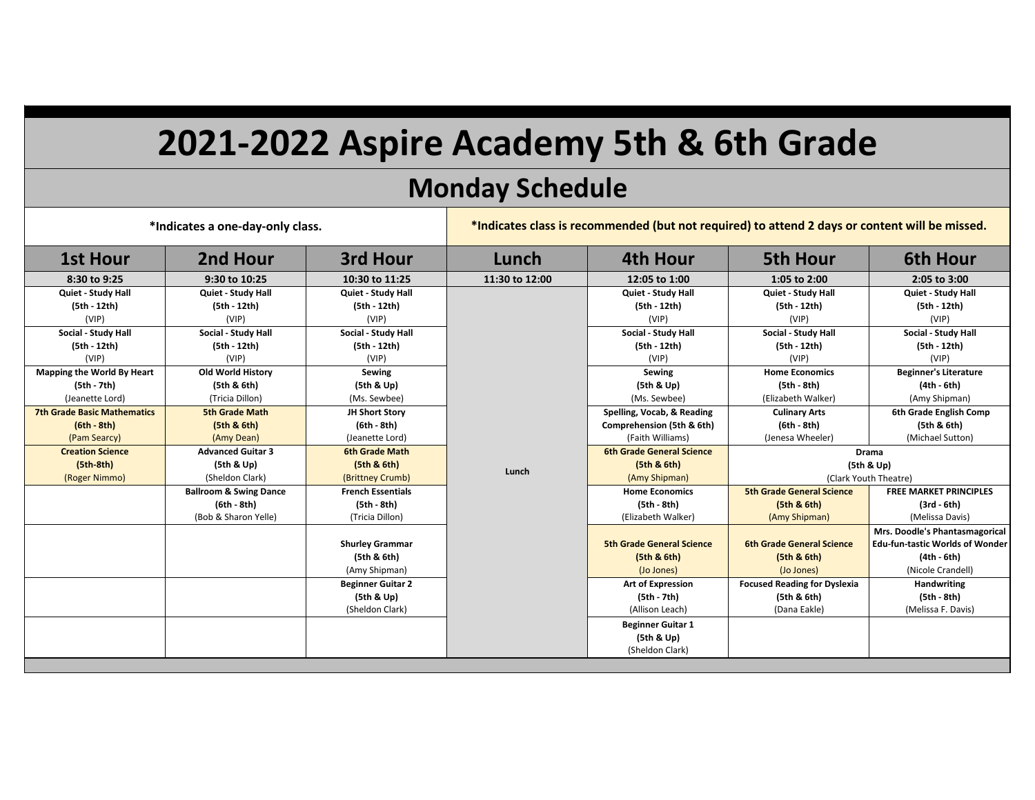## **2021-2022 Aspire Academy 5th & 6th Grade**

## **Monday Schedule**

| *Indicates a one-day-only class.   |                                   |                          | *Indicates class is recommended (but not required) to attend 2 days or content will be missed. |                                  |                                     |                                        |  |
|------------------------------------|-----------------------------------|--------------------------|------------------------------------------------------------------------------------------------|----------------------------------|-------------------------------------|----------------------------------------|--|
| <b>1st Hour</b>                    | 2nd Hour                          | 3rd Hour                 | Lunch                                                                                          | <b>4th Hour</b>                  | <b>5th Hour</b>                     | <b>6th Hour</b>                        |  |
| 8:30 to 9:25                       | 9:30 to 10:25                     | 10:30 to 11:25           | 11:30 to 12:00                                                                                 | 12:05 to 1:00                    | 1:05 to 2:00                        | 2:05 to 3:00                           |  |
| Quiet - Study Hall                 | Quiet - Study Hall                | Quiet - Study Hall       |                                                                                                | Quiet - Study Hall               | Quiet - Study Hall                  | Quiet - Study Hall                     |  |
| (5th - 12th)                       | (5th - 12th)                      | (5th - 12th)             |                                                                                                | (5th - 12th)                     | (5th - 12th)                        | (5th - 12th)                           |  |
| (VIP)                              | (VIP)                             | (VIP)                    |                                                                                                | (VIP)                            | (VIP)                               | (VIP)                                  |  |
| Social - Study Hall                | Social - Study Hall               | Social - Study Hall      |                                                                                                | Social - Study Hall              | Social - Study Hall                 | Social - Study Hall                    |  |
| (5th - 12th)                       | (5th - 12th)                      | (5th - 12th)             |                                                                                                | (5th - 12th)                     | (5th - 12th)                        | (5th - 12th)                           |  |
| (VIP)                              | (VIP)                             | (VIP)                    |                                                                                                | (VIP)                            | (VIP)                               | (VIP)                                  |  |
| Mapping the World By Heart         | <b>Old World History</b>          | Sewing                   |                                                                                                | Sewing                           | <b>Home Economics</b>               | <b>Beginner's Literature</b>           |  |
| (5th - 7th)                        | (5th & 6th)                       | (5th & Up)               |                                                                                                | (5th & Up)                       | (5th - 8th)                         | (4th - 6th)                            |  |
| (Jeanette Lord)                    | (Tricia Dillon)                   | (Ms. Sewbee)             |                                                                                                | (Ms. Sewbee)                     | (Elizabeth Walker)                  | (Amy Shipman)                          |  |
| <b>7th Grade Basic Mathematics</b> | <b>5th Grade Math</b>             | JH Short Story           |                                                                                                | Spelling, Vocab, & Reading       | <b>Culinary Arts</b>                | 6th Grade English Comp                 |  |
| $(6th - 8th)$                      | (5th & 6th)                       | (6th - 8th)              |                                                                                                | Comprehension (5th & 6th)        | (6th - 8th)                         | (5th & 6th)                            |  |
| (Pam Searcy)                       | (Amy Dean)                        | (Jeanette Lord)          |                                                                                                | (Faith Williams)                 | (Jenesa Wheeler)                    | (Michael Sutton)                       |  |
| <b>Creation Science</b>            | <b>Advanced Guitar 3</b>          | <b>6th Grade Math</b>    |                                                                                                | <b>6th Grade General Science</b> | <b>Drama</b>                        |                                        |  |
| $(5th-8th)$                        | (5th & Up)                        | (5th & 6th)              |                                                                                                | (5th & 6th)                      | (5th & Up)                          |                                        |  |
| (Roger Nimmo)                      | (Sheldon Clark)                   | (Brittney Crumb)         | Lunch                                                                                          | (Amy Shipman)                    | (Clark Youth Theatre)               |                                        |  |
|                                    | <b>Ballroom &amp; Swing Dance</b> | <b>French Essentials</b> |                                                                                                | <b>Home Economics</b>            | <b>5th Grade General Science</b>    | <b>FREE MARKET PRINCIPLES</b>          |  |
|                                    | $(6th - 8th)$                     | (5th - 8th)              |                                                                                                | (5th - 8th)                      | (5th & 6th)                         | $(3rd - 6th)$                          |  |
|                                    | (Bob & Sharon Yelle)              | (Tricia Dillon)          |                                                                                                | (Elizabeth Walker)               | (Amy Shipman)                       | (Melissa Davis)                        |  |
|                                    |                                   |                          |                                                                                                |                                  |                                     | Mrs. Doodle's Phantasmagorical         |  |
|                                    |                                   | <b>Shurley Grammar</b>   |                                                                                                | <b>5th Grade General Science</b> | <b>6th Grade General Science</b>    | <b>Edu-fun-tastic Worlds of Wonder</b> |  |
|                                    |                                   | (5th & 6th)              |                                                                                                | (5th & 6th)                      | (5th & 6th)                         | $(4th - 6th)$                          |  |
|                                    |                                   | (Amy Shipman)            |                                                                                                | (Jo Jones)                       | (Jo Jones)                          | (Nicole Crandell)                      |  |
|                                    |                                   | <b>Beginner Guitar 2</b> |                                                                                                | <b>Art of Expression</b>         | <b>Focused Reading for Dyslexia</b> | Handwriting                            |  |
|                                    |                                   | (5th & Up)               |                                                                                                | (5th - 7th)                      | (5th & 6th)                         | (5th - 8th)                            |  |
|                                    |                                   | (Sheldon Clark)          |                                                                                                | (Allison Leach)                  | (Dana Eakle)                        | (Melissa F. Davis)                     |  |
|                                    |                                   |                          |                                                                                                | <b>Beginner Guitar 1</b>         |                                     |                                        |  |
|                                    |                                   |                          |                                                                                                | (5th & Up)                       |                                     |                                        |  |
|                                    |                                   |                          |                                                                                                | (Sheldon Clark)                  |                                     |                                        |  |
|                                    |                                   |                          |                                                                                                |                                  |                                     |                                        |  |